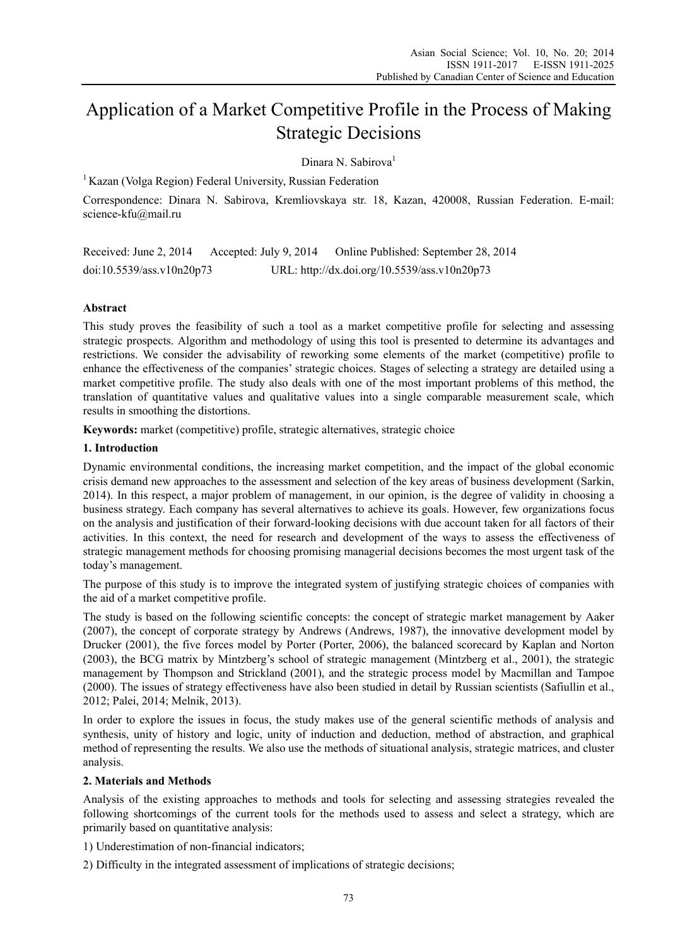# Application of a Market Competitive Profile in the Process of Making Strategic Decisions

Dinara N. Sabirova<sup>1</sup>

<sup>1</sup> Kazan (Volga Region) Federal University, Russian Federation

Correspondence: Dinara N. Sabirova, Kremliovskaya str. 18, Kazan, 420008, Russian Federation. E-mail: science-kfu@mail.ru

Received: June 2, 2014 Accepted: July 9, 2014 Online Published: September 28, 2014 doi:10.5539/ass.v10n20p73 URL: http://dx.doi.org/10.5539/ass.v10n20p73

## **Abstract**

This study proves the feasibility of such a tool as a market competitive profile for selecting and assessing strategic prospects. Algorithm and methodology of using this tool is presented to determine its advantages and restrictions. We consider the advisability of reworking some elements of the market (competitive) profile to enhance the effectiveness of the companies' strategic choices. Stages of selecting a strategy are detailed using a market competitive profile. The study also deals with one of the most important problems of this method, the translation of quantitative values and qualitative values into a single comparable measurement scale, which results in smoothing the distortions.

**Keywords:** market (competitive) profile, strategic alternatives, strategic choice

#### **1. Introduction**

Dynamic environmental conditions, the increasing market competition, and the impact of the global economic crisis demand new approaches to the assessment and selection of the key areas of business development (Sarkin, 2014). In this respect, a major problem of management, in our opinion, is the degree of validity in choosing a business strategy. Each company has several alternatives to achieve its goals. However, few organizations focus on the analysis and justification of their forward-looking decisions with due account taken for all factors of their activities. In this context, the need for research and development of the ways to assess the effectiveness of strategic management methods for choosing promising managerial decisions becomes the most urgent task of the today's management.

The purpose of this study is to improve the integrated system of justifying strategic choices of companies with the aid of a market competitive profile.

The study is based on the following scientific concepts: the concept of strategic market management by Aaker (2007), the concept of corporate strategy by Andrews (Andrews, 1987), the innovative development model by Drucker (2001), the five forces model by Porter (Porter, 2006), the balanced scorecard by Kaplan and Norton (2003), the BCG matrix by Mintzberg's school of strategic management (Mintzberg et al., 2001), the strategic management by Thompson and Strickland (2001), and the strategic process model by Macmillan and Tampoe (2000). The issues of strategy effectiveness have also been studied in detail by Russian scientists (Safiullin et al., 2012; Palei, 2014; Melnik, 2013).

In order to explore the issues in focus, the study makes use of the general scientific methods of analysis and synthesis, unity of history and logic, unity of induction and deduction, method of abstraction, and graphical method of representing the results. We also use the methods of situational analysis, strategic matrices, and cluster analysis.

## **2. Materials and Methods**

Analysis of the existing approaches to methods and tools for selecting and assessing strategies revealed the following shortcomings of the current tools for the methods used to assess and select a strategy, which are primarily based on quantitative analysis:

1) Underestimation of non-financial indicators;

2) Difficulty in the integrated assessment of implications of strategic decisions;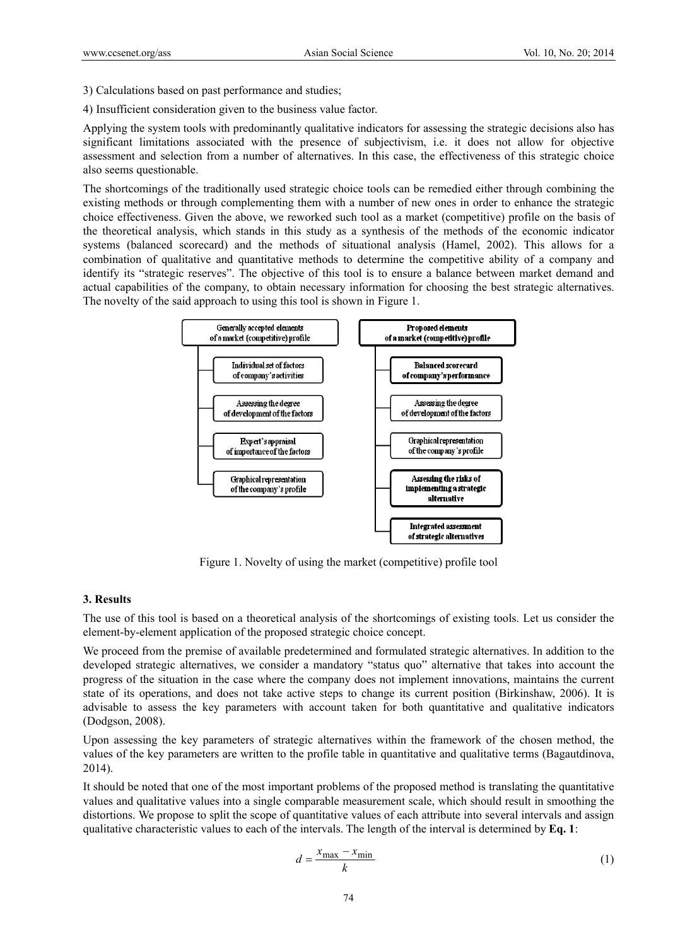- 3) Calculations based on past performance and studies;
- 4) Insufficient consideration given to the business value factor.

Applying the system tools with predominantly qualitative indicators for assessing the strategic decisions also has significant limitations associated with the presence of subjectivism, i.e. it does not allow for objective assessment and selection from a number of alternatives. In this case, the effectiveness of this strategic choice also seems questionable.

The shortcomings of the traditionally used strategic choice tools can be remedied either through combining the existing methods or through complementing them with a number of new ones in order to enhance the strategic choice effectiveness. Given the above, we reworked such tool as a market (competitive) profile on the basis of the theoretical analysis, which stands in this study as a synthesis of the methods of the economic indicator systems (balanced scorecard) and the methods of situational analysis (Hamel, 2002). This allows for a combination of qualitative and quantitative methods to determine the competitive ability of a company and identify its "strategic reserves". The objective of this tool is to ensure a balance between market demand and actual capabilities of the company, to obtain necessary information for choosing the best strategic alternatives. The novelty of the said approach to using this tool is shown in Figure 1.



Figure 1. Novelty of using the market (competitive) profile tool

#### **3. Results**

The use of this tool is based on a theoretical analysis of the shortcomings of existing tools. Let us consider the element-by-element application of the proposed strategic choice concept.

We proceed from the premise of available predetermined and formulated strategic alternatives. In addition to the developed strategic alternatives, we consider a mandatory "status quo" alternative that takes into account the progress of the situation in the case where the company does not implement innovations, maintains the current state of its operations, and does not take active steps to change its current position (Birkinshaw, 2006). It is advisable to assess the key parameters with account taken for both quantitative and qualitative indicators (Dodgson, 2008).

Upon assessing the key parameters of strategic alternatives within the framework of the chosen method, the values of the key parameters are written to the profile table in quantitative and qualitative terms (Bagautdinova, 2014).

It should be noted that one of the most important problems of the proposed method is translating the quantitative values and qualitative values into a single comparable measurement scale, which should result in smoothing the distortions. We propose to split the scope of quantitative values of each attribute into several intervals and assign qualitative characteristic values to each of the intervals. The length of the interval is determined by **Eq. 1**:

$$
d = \frac{x_{\text{max}} - x_{\text{min}}}{k} \tag{1}
$$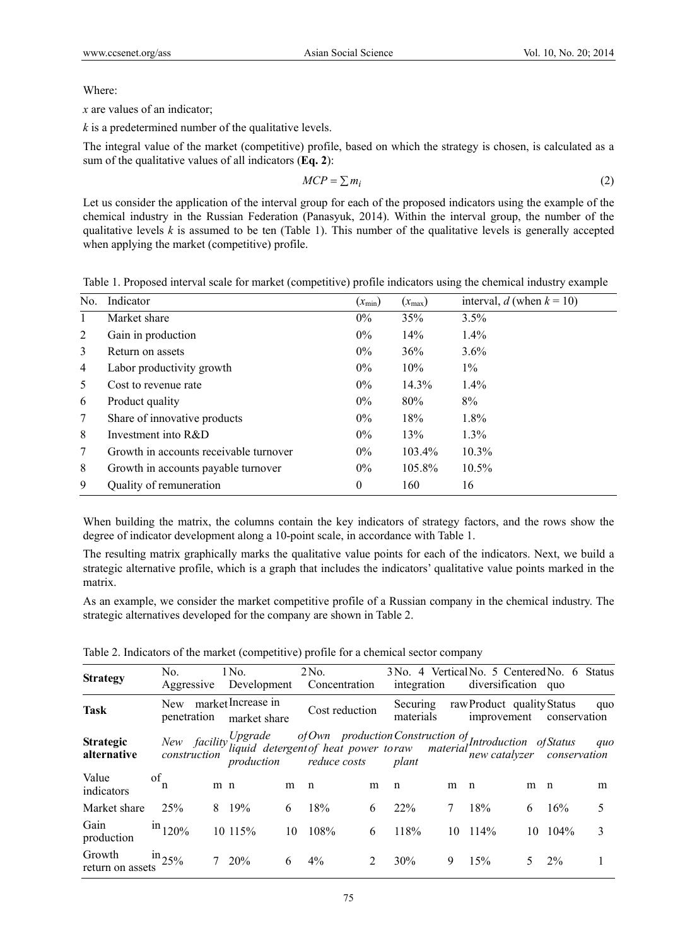Where:

*x* are values of an indicator;

*k* is a predetermined number of the qualitative levels.

The integral value of the market (competitive) profile, based on which the strategy is chosen, is calculated as a sum of the qualitative values of all indicators (**Eq. 2**):

$$
MCP = \sum m_i \tag{2}
$$

Let us consider the application of the interval group for each of the proposed indicators using the example of the chemical industry in the Russian Federation (Panasyuk, 2014). Within the interval group, the number of the qualitative levels  $k$  is assumed to be ten (Table 1). This number of the qualitative levels is generally accepted when applying the market (competitive) profile.

Table 1. Proposed interval scale for market (competitive) profile indicators using the chemical industry example

| No. | Indicator                              | $(x_{\min})$ | $(x_{\text{max}})$ | interval, d (when $k = 10$ ) |
|-----|----------------------------------------|--------------|--------------------|------------------------------|
| 1   | Market share                           | $0\%$        | 35%                | 3.5%                         |
| 2   | Gain in production                     | $0\%$        | 14%                | 1.4%                         |
| 3   | Return on assets                       | $0\%$        | 36%                | $3.6\%$                      |
| 4   | Labor productivity growth              | $0\%$        | 10%                | $1\%$                        |
| 5   | Cost to revenue rate                   | $0\%$        | 14.3%              | $1.4\%$                      |
| 6   | Product quality                        | $0\%$        | 80%                | 8%                           |
| 7   | Share of innovative products           | $0\%$        | 18%                | 1.8%                         |
| 8   | Investment into $R&D$                  | $0\%$        | 13%                | $1.3\%$                      |
| 7   | Growth in accounts receivable turnover | $0\%$        | $103.4\%$          | $10.3\%$                     |
| 8   | Growth in accounts payable turnover    | $0\%$        | 105.8%             | $10.5\%$                     |
| 9   | Quality of remuneration                | $\mathbf{0}$ | 160                | 16                           |

When building the matrix, the columns contain the key indicators of strategy factors, and the rows show the degree of indicator development along a 10-point scale, in accordance with Table 1.

The resulting matrix graphically marks the qualitative value points for each of the indicators. Next, we build a strategic alternative profile, which is a graph that includes the indicators' qualitative value points marked in the matrix.

As an example, we consider the market competitive profile of a Russian company in the chemical industry. The strategic alternatives developed for the company are shown in Table 2.

| <b>Strategy</b>                 | No.<br>Aggressive  |     | 1 No.<br>Development               |    | 2No.<br>Concentration                                                                                                                                                                                 |   | integration           |    | 3 No. 4 Vertical No. 5 Centered No. 6 Status<br>diversification quo |   |              |     |
|---------------------------------|--------------------|-----|------------------------------------|----|-------------------------------------------------------------------------------------------------------------------------------------------------------------------------------------------------------|---|-----------------------|----|---------------------------------------------------------------------|---|--------------|-----|
| <b>Task</b>                     | New<br>penetration |     | market Increase in<br>market share |    | Cost reduction                                                                                                                                                                                        |   | Securing<br>materials |    | raw Product quality Status<br>improvement                           |   | conservation | quo |
| <b>Strategic</b><br>alternative |                    |     |                                    |    | New facility Upgrade of Own production Construction of Introduction of Status quo<br>New facility liquid detergent of heat power toraw material new catalyzer conservation<br>production reduce costs |   | plant                 |    |                                                                     |   |              | quo |
| Value<br>indicators             | οf<br>n            | m n |                                    | m  | $\mathbf n$                                                                                                                                                                                           | m | n                     | m  | n                                                                   | m | $\mathsf{n}$ | m   |
| Market share                    | 25%                |     | 8 19%                              | 6  | 18%                                                                                                                                                                                                   | 6 | 22%                   | 7  | 18%                                                                 | 6 | 16%          | 5   |
| Gain<br>production              | $\rm{in}_{120\%}$  |     | 10 115%                            | 10 | 108%                                                                                                                                                                                                  | 6 | 118%                  | 10 | $114\%$                                                             |   | $10 \t104\%$ | 3   |
| return on assets $25\%$         |                    |     | 20%                                | 6  | $4\%$                                                                                                                                                                                                 | 2 | 30%                   | 9  | 15%                                                                 |   | $2\%$        |     |

Table 2. Indicators of the market (competitive) profile for a chemical sector company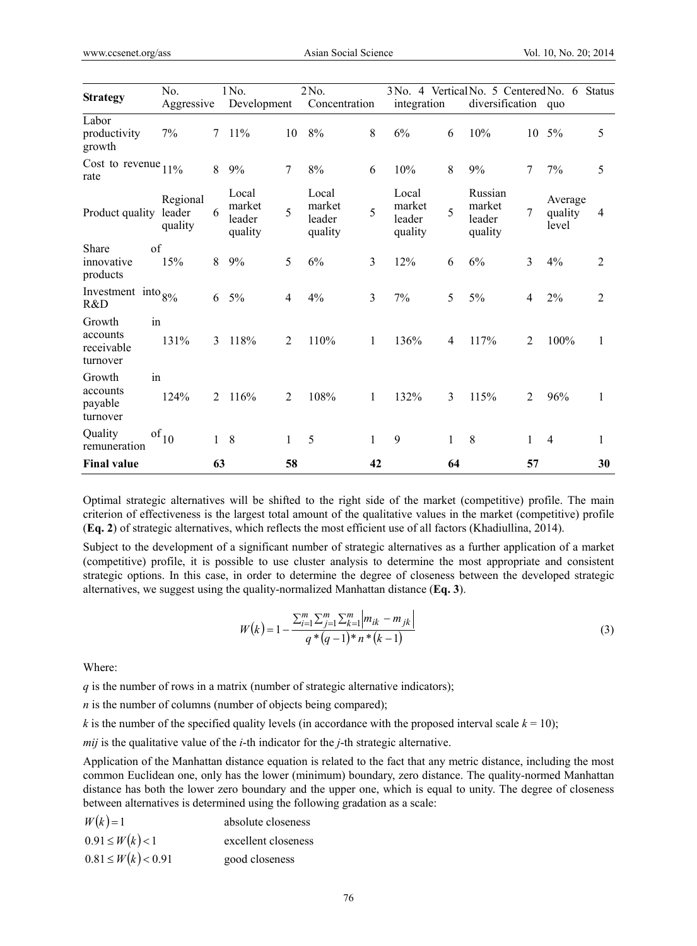| <b>Strategy</b>                              | No.                 | Aggressive   |                                      | 1 No.<br>2No.<br>Development |                                      |                | integration                          |    | 3 No. 4 Vertical No. 5 Centered No. 6 Status<br>diversification quo |    |                             |                |
|----------------------------------------------|---------------------|--------------|--------------------------------------|------------------------------|--------------------------------------|----------------|--------------------------------------|----|---------------------------------------------------------------------|----|-----------------------------|----------------|
|                                              |                     |              |                                      |                              |                                      | Concentration  |                                      |    |                                                                     |    |                             |                |
| Labor<br>productivity<br>growth              | 7%                  | 7            | 11%                                  | 10                           | 8%                                   | 8              | 6%                                   | 6  | 10%                                                                 | 10 | 5%                          | 5              |
| Cost to revenue $11\%$<br>rate               |                     | 8            | 9%                                   | 7                            | 8%                                   | 6              | 10%                                  | 8  | 9%                                                                  | 7  | 7%                          | 5              |
| Product quality leader                       | Regional<br>quality | 6            | Local<br>market<br>leader<br>quality | 5                            | Local<br>market<br>leader<br>quality | 5              | Local<br>market<br>leader<br>quality | 5  | Russian<br>market<br>leader<br>quality                              | 7  | Average<br>quality<br>level | 4              |
| Share<br>innovative<br>products              | of<br>15%           | 8            | 9%                                   | 5                            | 6%                                   | $\mathfrak{Z}$ | 12%                                  | 6  | 6%                                                                  | 3  | 4%                          | $\overline{2}$ |
| Investment into $8\%$<br>R&D                 |                     | 6            | $5\%$                                | 4                            | 4%                                   | 3              | 7%                                   | 5  | 5%                                                                  | 4  | 2%                          | $\overline{2}$ |
| Growth<br>accounts<br>receivable<br>turnover | in<br>131%          | 3            | 118%                                 | 2                            | 110%                                 | 1              | 136%                                 | 4  | 117%                                                                | 2  | 100%                        | 1              |
| Growth<br>accounts<br>payable<br>turnover    | in<br>124%          | 2            | 116%                                 | 2                            | 108%                                 | 1              | 132%                                 | 3  | 115%                                                                | 2  | 96%                         | $\mathbf{1}$   |
| Quality<br>remuneration                      | of $_{\rm 10}$      | $\mathbf{1}$ | 8                                    | 1                            | 5                                    | 1              | 9                                    | 1  | 8                                                                   | 1  | $\overline{4}$              | 1              |
| <b>Final value</b>                           |                     | 63           |                                      | 58                           |                                      | 42             |                                      | 64 |                                                                     | 57 |                             | 30             |

Optimal strategic alternatives will be shifted to the right side of the market (competitive) profile. The main criterion of effectiveness is the largest total amount of the qualitative values in the market (competitive) profile (**Eq. 2**) of strategic alternatives, which reflects the most efficient use of all factors (Khadiullina, 2014).

Subject to the development of a significant number of strategic alternatives as a further application of a market (competitive) profile, it is possible to use cluster analysis to determine the most appropriate and consistent strategic options. In this case, in order to determine the degree of closeness between the developed strategic alternatives, we suggest using the quality-normalized Manhattan distance (**Eq. 3**).

$$
W(k) = 1 - \frac{\sum_{i=1}^{m} \sum_{j=1}^{m} \sum_{k=1}^{m} |m_{ik} - m_{jk}|}{q * (q-1) * n * (k-1)}
$$
(3)

Where:

*q* is the number of rows in a matrix (number of strategic alternative indicators);

*n* is the number of columns (number of objects being compared);

*k* is the number of the specified quality levels (in accordance with the proposed interval scale  $k = 10$ );

*mij* is the qualitative value of the *i*-th indicator for the *j*-th strategic alternative.

Application of the Manhattan distance equation is related to the fact that any metric distance, including the most common Euclidean one, only has the lower (minimum) boundary, zero distance. The quality-normed Manhattan distance has both the lower zero boundary and the upper one, which is equal to unity. The degree of closeness between alternatives is determined using the following gradation as a scale:

| $W(k)=1$                | absolute closeness  |
|-------------------------|---------------------|
| $0.91 \leq W(k) < 1$    | excellent closeness |
| $0.81 \leq W(k) < 0.91$ | good closeness      |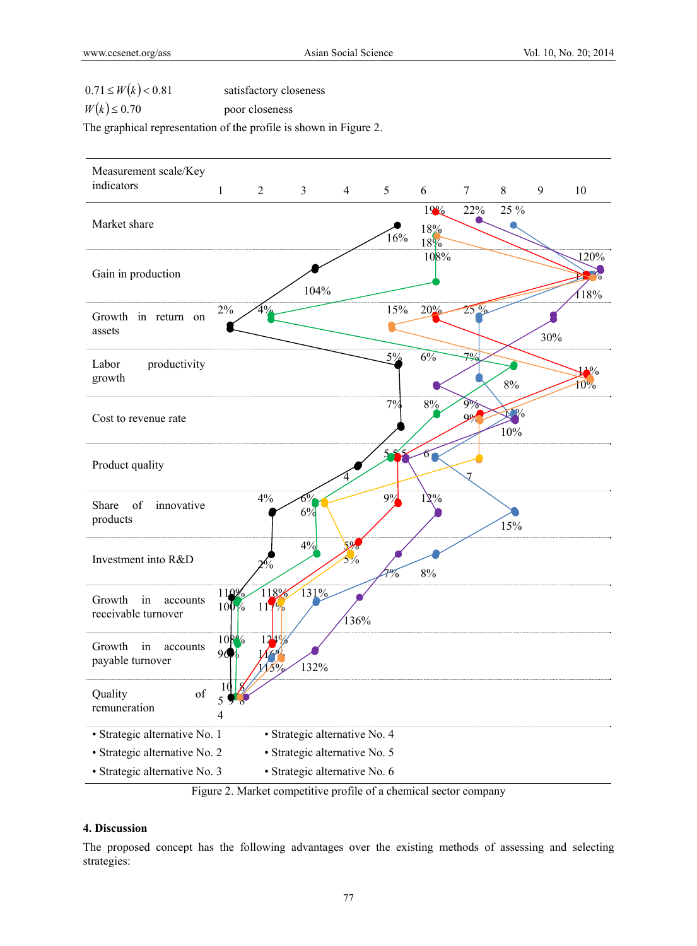$0.71 \leq W(k) < 0.81$  satisfactory closeness

 $W(k) \le 0.70$  poor closeness

The graphical representation of the profile is shown in Figure 2.



Figure 2. Market competitive profile of a chemical sector company

# **4. Discussion**

The proposed concept has the following advantages over the existing methods of assessing and selecting strategies: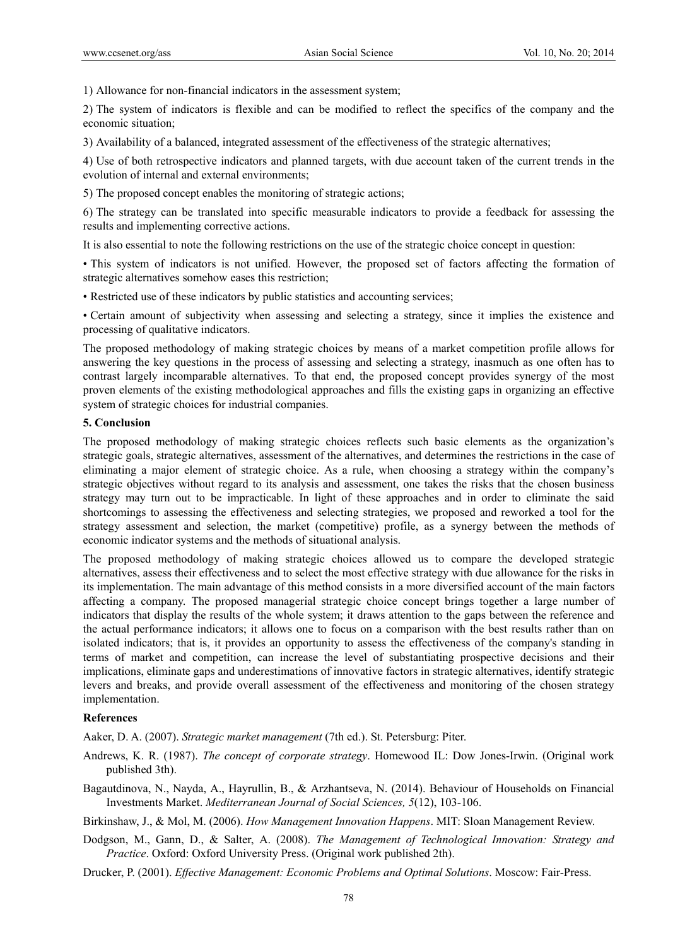1) Allowance for non-financial indicators in the assessment system;

2) The system of indicators is flexible and can be modified to reflect the specifics of the company and the economic situation;

3) Availability of a balanced, integrated assessment of the effectiveness of the strategic alternatives;

4) Use of both retrospective indicators and planned targets, with due account taken of the current trends in the evolution of internal and external environments;

5) The proposed concept enables the monitoring of strategic actions;

6) The strategy can be translated into specific measurable indicators to provide a feedback for assessing the results and implementing corrective actions.

It is also essential to note the following restrictions on the use of the strategic choice concept in question:

• This system of indicators is not unified. However, the proposed set of factors affecting the formation of strategic alternatives somehow eases this restriction;

• Restricted use of these indicators by public statistics and accounting services;

• Certain amount of subjectivity when assessing and selecting a strategy, since it implies the existence and processing of qualitative indicators.

The proposed methodology of making strategic choices by means of a market competition profile allows for answering the key questions in the process of assessing and selecting a strategy, inasmuch as one often has to contrast largely incomparable alternatives. To that end, the proposed concept provides synergy of the most proven elements of the existing methodological approaches and fills the existing gaps in organizing an effective system of strategic choices for industrial companies.

#### **5. Conclusion**

The proposed methodology of making strategic choices reflects such basic elements as the organization's strategic goals, strategic alternatives, assessment of the alternatives, and determines the restrictions in the case of eliminating a major element of strategic choice. As a rule, when choosing a strategy within the company's strategic objectives without regard to its analysis and assessment, one takes the risks that the chosen business strategy may turn out to be impracticable. In light of these approaches and in order to eliminate the said shortcomings to assessing the effectiveness and selecting strategies, we proposed and reworked a tool for the strategy assessment and selection, the market (competitive) profile, as a synergy between the methods of economic indicator systems and the methods of situational analysis.

The proposed methodology of making strategic choices allowed us to compare the developed strategic alternatives, assess their effectiveness and to select the most effective strategy with due allowance for the risks in its implementation. The main advantage of this method consists in a more diversified account of the main factors affecting a company. The proposed managerial strategic choice concept brings together a large number of indicators that display the results of the whole system; it draws attention to the gaps between the reference and the actual performance indicators; it allows one to focus on a comparison with the best results rather than on isolated indicators; that is, it provides an opportunity to assess the effectiveness of the company's standing in terms of market and competition, can increase the level of substantiating prospective decisions and their implications, eliminate gaps and underestimations of innovative factors in strategic alternatives, identify strategic levers and breaks, and provide overall assessment of the effectiveness and monitoring of the chosen strategy implementation.

## **References**

Aaker, D. A. (2007). *Strategic market management* (7th ed.). St. Petersburg: Piter.

- Andrews, K. R. (1987). *The concept of corporate strategy*. Homewood IL: Dow Jones-Irwin. (Original work published 3th).
- Bagautdinova, N., Nayda, A., Hayrullin, B., & Arzhantseva, N. (2014). Behaviour of Households on Financial Investments Market. *Mediterranean Journal of Social Sciences, 5*(12), 103-106.

Birkinshaw, J., & Mol, M. (2006). *How Management Innovation Happens*. MIT: Sloan Management Review.

Dodgson, M., Gann, D., & Salter, A. (2008). *The Management of Technological Innovation: Strategy and Practice*. Oxford: Oxford University Press. (Original work published 2th).

Drucker, P. (2001). *Effective Management: Economic Problems and Optimal Solutions*. Moscow: Fair-Press.